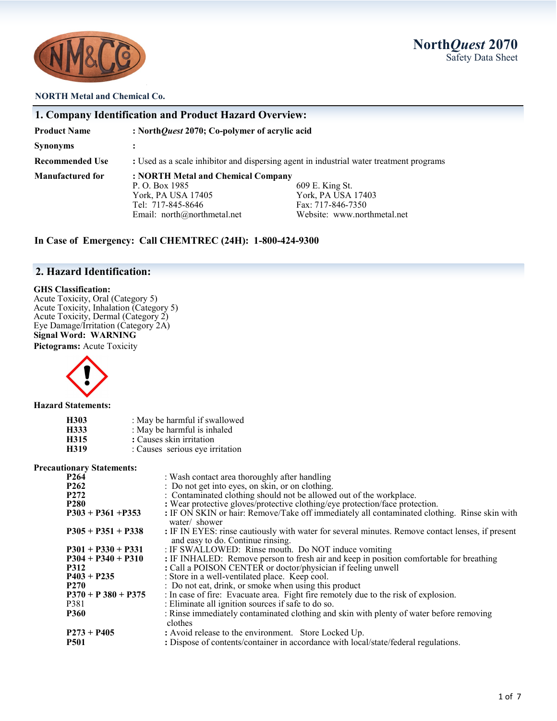

# **North***Quest* **2070** Safety Data Sheet

#### **NORTH Metal and Chemical Co.**

| 1. Company Identification and Product Hazard Overview: |                                                                                                                                |                                                                                           |  |  |
|--------------------------------------------------------|--------------------------------------------------------------------------------------------------------------------------------|-------------------------------------------------------------------------------------------|--|--|
| <b>Product Name</b>                                    | : North Quest 2070; Co-polymer of acrylic acid                                                                                 |                                                                                           |  |  |
| <b>Synonyms</b>                                        |                                                                                                                                |                                                                                           |  |  |
| <b>Recommended Use</b>                                 | : Used as a scale inhibitor and dispersing agent in industrial water treatment programs                                        |                                                                                           |  |  |
| <b>Manufactured for</b>                                | : NORTH Metal and Chemical Company<br>P. O. Box 1985<br>York, PA USA 17405<br>Tel: 717-845-8646<br>Email: north@northmetal.net | 609 E. King St.<br>York, PA USA 17403<br>Fax: 717-846-7350<br>Website: www.northmetal.net |  |  |

**In Case of Emergency: Call CHEMTREC (24H): 1-800-424-9300**

## **2. Hazard Identification:**

#### **GHS Classification:**

Acute Toxicity, Oral (Category 5) Acute Toxicity, Inhalation (Category 5) Acute Toxicity, Dermal (Category 2) Eye Damage/Irritation (Category 2A) **Signal Word: WARNING**

**Pictograms:** Acute Toxicity



**Hazard Statements:**

| H303 | : May be harmful if swallowed   |
|------|---------------------------------|
| H333 | : May be harmful is inhaled     |
| H315 | : Causes skin irritation        |
| H319 | : Causes serious eye irritation |

#### **Precautionary Statements:**

| : Wash contact area thoroughly after handling                                                                                         |
|---------------------------------------------------------------------------------------------------------------------------------------|
| : Do not get into eyes, on skin, or on clothing.                                                                                      |
| : Contaminated clothing should not be allowed out of the workplace.                                                                   |
| : Wear protective gloves/protective clothing/eye protection/face protection.                                                          |
| : IF ON SKIN or hair: Remove/Take off immediately all contaminated clothing. Rinse skin with<br>water/ shower                         |
| : IF IN EYES: rinse cautiously with water for several minutes. Remove contact lenses, if present<br>and easy to do. Continue rinsing. |
| : IF SWALLOWED: Rinse mouth. Do NOT induce vomiting                                                                                   |
| : IF INHALED: Remove person to fresh air and keep in position comfortable for breathing                                               |
| : Call a POISON CENTER or doctor/physician if feeling unwell                                                                          |
| : Store in a well-ventilated place. Keep cool.                                                                                        |
| : Do not eat, drink, or smoke when using this product                                                                                 |
| : In case of fire: Evacuate area. Fight fire remotely due to the risk of explosion.                                                   |
| : Eliminate all ignition sources if safe to do so.                                                                                    |
| : Rinse immediately contaminated clothing and skin with plenty of water before removing<br>clothes                                    |
| : Avoid release to the environment. Store Locked Up.                                                                                  |
| : Dispose of contents/container in accordance with local/state/federal regulations.                                                   |
|                                                                                                                                       |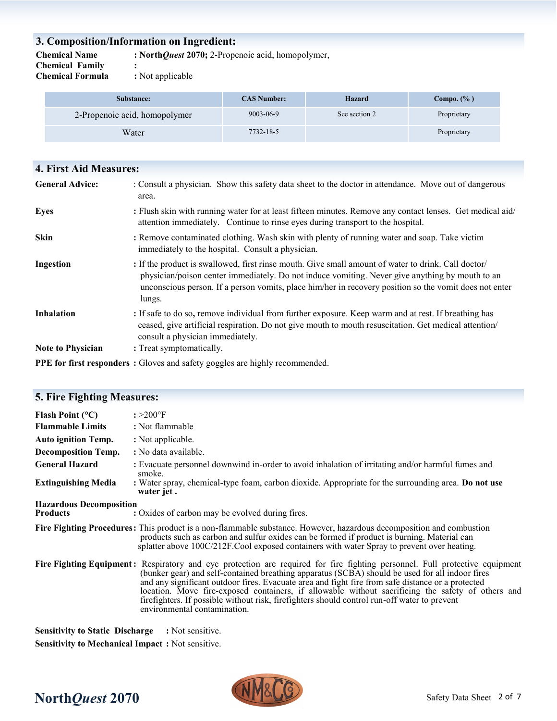# **3. Composition/Information on Ingredient:**

**Chemical Name : North***Quest* **2070;** 2-Propenoic acid, homopolymer,

**Chemical Family :** 

**Chemical Formula :** Not applicable

| Substance:                    | <b>CAS Number:</b> | Hazard        | Compo. $(\% )$ |
|-------------------------------|--------------------|---------------|----------------|
| 2-Propenoic acid, homopolymer | 9003-06-9          | See section 2 | Proprietary    |
| Water                         | 7732-18-5          |               | Proprietary    |

| <b>4. First Aid Measures:</b> |                                                                                                                                                                                                                                                                                                                            |
|-------------------------------|----------------------------------------------------------------------------------------------------------------------------------------------------------------------------------------------------------------------------------------------------------------------------------------------------------------------------|
| <b>General Advice:</b>        | : Consult a physician. Show this safety data sheet to the doctor in attendance. Move out of dangerous<br>area.                                                                                                                                                                                                             |
| <b>Eyes</b>                   | : Flush skin with running water for at least fifteen minutes. Remove any contact lenses. Get medical aid/<br>attention immediately. Continue to rinse eyes during transport to the hospital.                                                                                                                               |
| <b>Skin</b>                   | : Remove contaminated clothing. Wash skin with plenty of running water and soap. Take victim<br>immediately to the hospital. Consult a physician.                                                                                                                                                                          |
| Ingestion                     | : If the product is swallowed, first rinse mouth. Give small amount of water to drink. Call doctor/<br>physician/poison center immediately. Do not induce vomiting. Never give anything by mouth to an<br>unconscious person. If a person vomits, place him/her in recovery position so the vomit does not enter<br>lungs. |
| <b>Inhalation</b>             | : If safe to do so, remove individual from further exposure. Keep warm and at rest. If breathing has<br>ceased, give artificial respiration. Do not give mouth to mouth resuscitation. Get medical attention/<br>consult a physician immediately.                                                                          |
| <b>Note to Physician</b>      | : Treat symptomatically.                                                                                                                                                                                                                                                                                                   |
|                               | <b>PPE for first responders</b> : Gloves and safety goggles are highly recommended.                                                                                                                                                                                                                                        |

| <b>5. Fire Fighting Measures:</b>                 |                                                                                                                                                                                                                                                                                                                                                                                                                                                                                                                                                                          |
|---------------------------------------------------|--------------------------------------------------------------------------------------------------------------------------------------------------------------------------------------------------------------------------------------------------------------------------------------------------------------------------------------------------------------------------------------------------------------------------------------------------------------------------------------------------------------------------------------------------------------------------|
| Flash Point $(°C)$<br><b>Flammable Limits</b>     | $: >200^{\circ}$ F<br>: Not flammable                                                                                                                                                                                                                                                                                                                                                                                                                                                                                                                                    |
| <b>Auto ignition Temp.</b>                        | : Not applicable.                                                                                                                                                                                                                                                                                                                                                                                                                                                                                                                                                        |
| <b>Decomposition Temp.</b>                        | : No data available.                                                                                                                                                                                                                                                                                                                                                                                                                                                                                                                                                     |
| <b>General Hazard</b>                             | : Evacuate personnel downwind in-order to avoid inhalation of irritating and/or harmful fumes and<br>smoke.                                                                                                                                                                                                                                                                                                                                                                                                                                                              |
| <b>Extinguishing Media</b>                        | : Water spray, chemical-type foam, carbon dioxide. Appropriate for the surrounding area. Do not use<br>water jet.                                                                                                                                                                                                                                                                                                                                                                                                                                                        |
| <b>Hazardous Decomposition</b><br><b>Products</b> | : Oxides of carbon may be evolved during fires.                                                                                                                                                                                                                                                                                                                                                                                                                                                                                                                          |
|                                                   | Fire Fighting Procedures: This product is a non-flammable substance. However, hazardous decomposition and combustion<br>products such as carbon and sulfur oxides can be formed if product is burning. Material can<br>splatter above 100C/212F.Cool exposed containers with water Spray to prevent over heating.                                                                                                                                                                                                                                                        |
|                                                   | Fire Fighting Equipment: Respiratory and eye protection are required for fire fighting personnel. Full protective equipment<br>(bunker gear) and self-contained breathing apparatus (SCBA) should be used for all indoor fires<br>and any significant outdoor fires. Evacuate area and fight fire from safe distance or a protected<br>location. Move fire-exposed containers, if allowable without sacrificing the safety of others and<br>firefighters. If possible without risk, firefighters should control run-off water to prevent<br>environmental contamination. |

**Sensitivity to Static Discharge :** Not sensitive. **Sensitivity to Mechanical Impact :** Not sensitive.

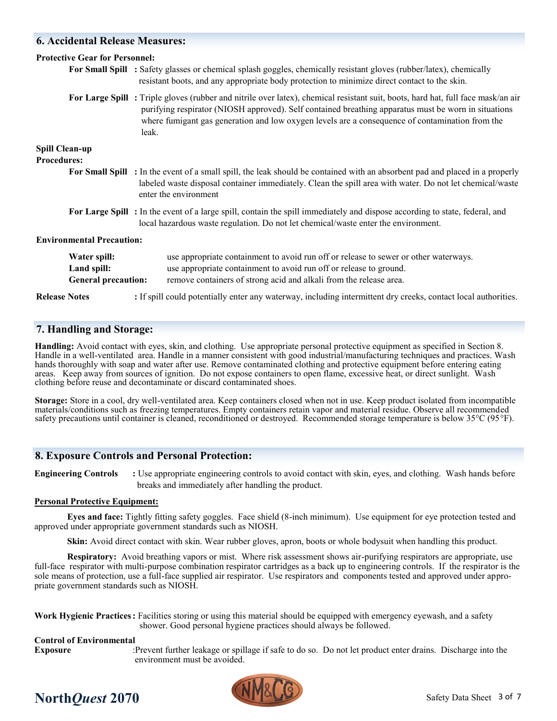## **6. Accidental Release Measures:**

| <b>Protective Gear for Personnel:</b>                     |                                                                                                                                                                                                                                                                                                                                                     |  |  |
|-----------------------------------------------------------|-----------------------------------------------------------------------------------------------------------------------------------------------------------------------------------------------------------------------------------------------------------------------------------------------------------------------------------------------------|--|--|
|                                                           | For Small Spill : Safety glasses or chemical splash goggles, chemically resistant gloves (rubber/latex), chemically<br>resistant boots, and any appropriate body protection to minimize direct contact to the skin.                                                                                                                                 |  |  |
|                                                           | For Large Spill: Triple gloves (rubber and nitrile over latex), chemical resistant suit, boots, hard hat, full face mask/an air<br>purifying respirator (NIOSH approved). Self contained breathing apparatus must be worn in situations<br>where fumigant gas generation and low oxygen levels are a consequence of contamination from the<br>leak. |  |  |
| <b>Spill Clean-up</b>                                     |                                                                                                                                                                                                                                                                                                                                                     |  |  |
| <b>Procedures:</b>                                        |                                                                                                                                                                                                                                                                                                                                                     |  |  |
|                                                           | For Small Spill : In the event of a small spill, the leak should be contained with an absorbent pad and placed in a properly<br>labeled waste disposal container immediately. Clean the spill area with water. Do not let chemical/waste<br>enter the environment                                                                                   |  |  |
|                                                           | For Large Spill: In the event of a large spill, contain the spill immediately and dispose according to state, federal, and<br>local hazardous waste regulation. Do not let chemical/waste enter the environment.                                                                                                                                    |  |  |
| <b>Environmental Precaution:</b>                          |                                                                                                                                                                                                                                                                                                                                                     |  |  |
| Water spill:<br>Land spill:<br><b>General precaution:</b> | use appropriate containment to avoid run off or release to sewer or other waterways.<br>use appropriate containment to avoid run off or release to ground.<br>remove containers of strong acid and alkali from the release area.                                                                                                                    |  |  |
| <b>Release Notes</b>                                      | : If spill could potentially enter any waterway, including intermittent dry creeks, contact local authorities.                                                                                                                                                                                                                                      |  |  |

### **7. Handling and Storage:**

**Handling:** Avoid contact with eyes, skin, and clothing. Use appropriate personal protective equipment as specified in Section 8. Handle in a well-ventilated area. Handle in a manner consistent with good industrial/manufacturing techniques and practices. Wash hands thoroughly with soap and water after use. Remove contaminated clothing and protective equipment before entering eating areas. Keep away from sources of ignition. Do not expose containers to open flame, excessive heat, or direct sunlight. Wash clothing before reuse and decontaminate or discard contaminated shoes.

**Storage:** Store in a cool, dry well-ventilated area. Keep containers closed when not in use. Keep product isolated from incompatible materials/conditions such as freezing temperatures. Empty containers retain vapor and material residue. Observe all recommended safety precautions until container is cleaned, reconditioned or destroyed. Recommended storage temperature is below 35°C (95°F).

### **8. Exposure Controls and Personal Protection:**

**Engineering Controls** : Use appropriate engineering controls to avoid contact with skin, eyes, and clothing. Wash hands before breaks and immediately after handling the product.

#### **Personal Protective Equipment:**

**Eyes and face:** Tightly fitting safety goggles. Face shield (8-inch minimum). Use equipment for eye protection tested and approved under appropriate government standards such as NIOSH.

**Skin:** Avoid direct contact with skin. Wear rubber gloves, apron, boots or whole bodysuit when handling this product.

**Respiratory:** Avoid breathing vapors or mist. Where risk assessment shows air-purifying respirators are appropriate, use full-face respirator with multi-purpose combination respirator cartridges as a back up to engineering controls. If the respirator is the sole means of protection, use a full-face supplied air respirator. Use respirators and components tested and approved under appropriate government standards such as NIOSH.

**Work Hygienic Practices:** Facilities storing or using this material should be equipped with emergency eyewash, and a safety shower. Good personal hygiene practices should always be followed.

#### **Control of Environmental**

**Exposure** :Prevent further leakage or spillage if safe to do so. Do not let product enter drains. Discharge into the environment must be avoided.

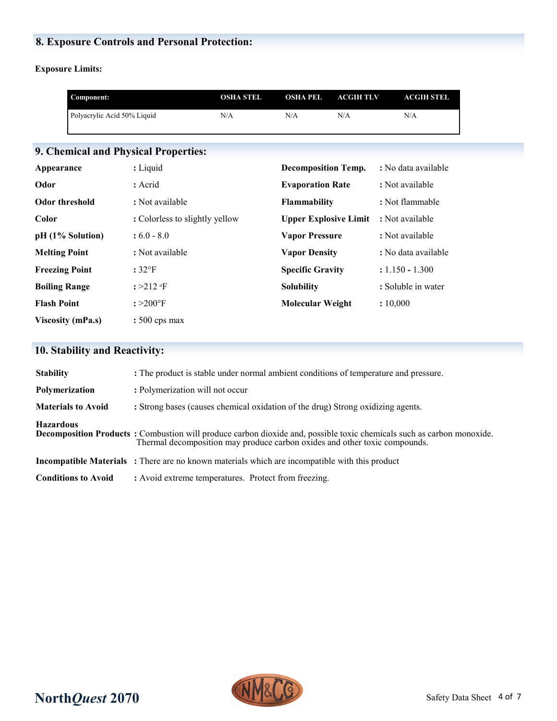# **8. Exposure Controls and Personal Protection:**

**Exposure Limits:**

|                       | Component:                  |                                      | <b>OSHA STEL</b> | <b>OSHA PEL</b>              | <b>ACGIHTLV</b> | <b>ACGIH STEL</b>   |
|-----------------------|-----------------------------|--------------------------------------|------------------|------------------------------|-----------------|---------------------|
|                       | Polyacrylic Acid 50% Liquid |                                      | N/A              | N/A                          | N/A             | N/A                 |
|                       |                             |                                      |                  |                              |                 |                     |
|                       |                             | 9. Chemical and Physical Properties: |                  |                              |                 |                     |
| Appearance            |                             | : Liquid                             |                  | <b>Decomposition Temp.</b>   |                 | : No data available |
| Odor                  |                             | : Acrid                              |                  | <b>Evaporation Rate</b>      |                 | : Not available     |
| <b>Odor threshold</b> |                             | : Not available                      |                  | <b>Flammability</b>          |                 | : Not flammable     |
| Color                 |                             | : Colorless to slightly yellow       |                  | <b>Upper Explosive Limit</b> |                 | : Not available     |
|                       | pH (1% Solution)            | $:6.0 - 8.0$                         |                  | <b>Vapor Pressure</b>        |                 | : Not available     |
| <b>Melting Point</b>  |                             | : Not available                      |                  | <b>Vapor Density</b>         |                 | : No data available |
| <b>Freezing Point</b> |                             | $:32$ <sup>o</sup> F                 |                  | <b>Specific Gravity</b>      |                 | $: 1.150 - 1.300$   |
| <b>Boiling Range</b>  |                             | $: >212$ of                          |                  | <b>Solubility</b>            |                 | : Soluble in water  |
| <b>Flash Point</b>    |                             | $: >200^{\circ}$ F                   |                  | <b>Molecular Weight</b>      |                 | : 10,000            |
|                       | <b>Viscosity (mPa.s)</b>    | $: 500 \text{ cps max}$              |                  |                              |                 |                     |

# **10. Stability and Reactivity:**

| <b>Decomposition Products</b> : Combustion will produce carbon dioxide and, possible toxic chemicals such as carbon monoxide. |
|-------------------------------------------------------------------------------------------------------------------------------|
|                                                                                                                               |
|                                                                                                                               |
|                                                                                                                               |

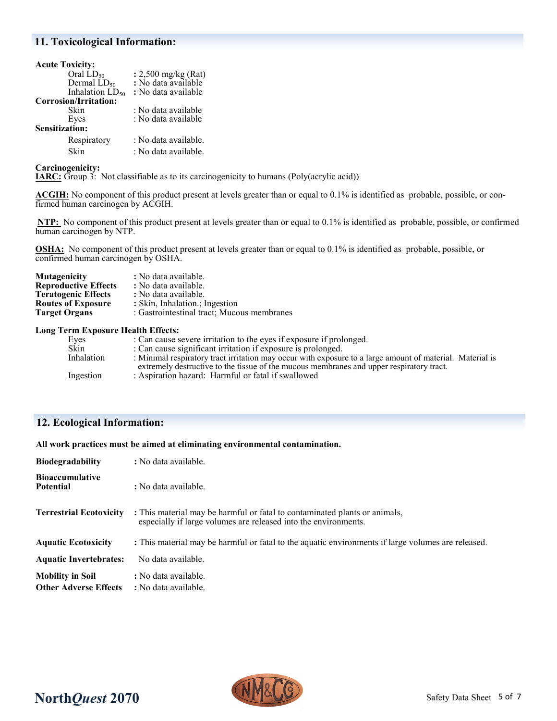### **11. Toxicological Information:**

| <b>Acute Toxicity:</b> |                      |
|------------------------|----------------------|
| Oral $LD_{50}$         | : 2,500 mg/kg (Rat)  |
| Dermal $LD_{50}$       | : No data available  |
| Inhalation $LD_{50}$   | : No data available  |
| Corrosion/Irritation:  |                      |
| Skin                   | : No data available  |
| Eyes                   | : No data available  |
| Sensitization:         |                      |
| Respiratory            | : No data available. |
| Skin                   | : No data available. |

**Carcinogenicity:** 

**IARC:** Group 3: Not classifiable as to its carcinogenicity to humans (Poly(acrylic acid))

**ACGIH:** No component of this product present at levels greater than or equal to 0.1% is identified as probable, possible, or confirmed human carcinogen by ACGIH.

**NTP:** No component of this product present at levels greater than or equal to 0.1% is identified as probable, possible, or confirmed human carcinogen by NTP.

**OSHA:** No component of this product present at levels greater than or equal to 0.1% is identified as probable, possible, or confirmed human carcinogen by OSHA.

| <b>Mutagenicity</b>         | : No data available.                       |
|-----------------------------|--------------------------------------------|
| <b>Reproductive Effects</b> | : No data available.                       |
| <b>Teratogenic Effects</b>  | : No data available.                       |
| <b>Routes of Exposure</b>   | : Skin, Inhalation.; Ingestion             |
| <b>Target Organs</b>        | : Gastrointestinal tract; Mucous membranes |
|                             |                                            |

#### **Long Term Exposure Health Effects:**

| Eyes       | : Can cause severe irritation to the eyes if exposure if prolonged.                                       |
|------------|-----------------------------------------------------------------------------------------------------------|
| Sǩin       | : Can cause significant irritation if exposure is prolonged.                                              |
| Inhalation | : Minimal respiratory tract irritation may occur with exposure to a large amount of material. Material is |
|            | extremely destructive to the tissue of the mucous membranes and upper respiratory tract.                  |
| Ingestion  | : Aspiration hazard: Harmful or fatal if swallowed                                                        |
|            |                                                                                                           |

# **12. Ecological Information:**

**All work practices must be aimed at eliminating environmental contamination.** 

| <b>Biodegradability</b>                                 | : No data available.                                                                                                                          |
|---------------------------------------------------------|-----------------------------------------------------------------------------------------------------------------------------------------------|
| <b>Bioaccumulative</b><br><b>Potential</b>              | : No data available.                                                                                                                          |
| <b>Terrestrial Ecotoxicity</b>                          | : This material may be harmful or fatal to contaminated plants or animals,<br>especially if large volumes are released into the environments. |
| <b>Aquatic Ecotoxicity</b>                              | : This material may be harmful or fatal to the aquatic environments if large volumes are released.                                            |
| <b>Aquatic Invertebrates:</b>                           | No data available.                                                                                                                            |
| <b>Mobility in Soil</b><br><b>Other Adverse Effects</b> | : No data available.<br>: No data available.                                                                                                  |

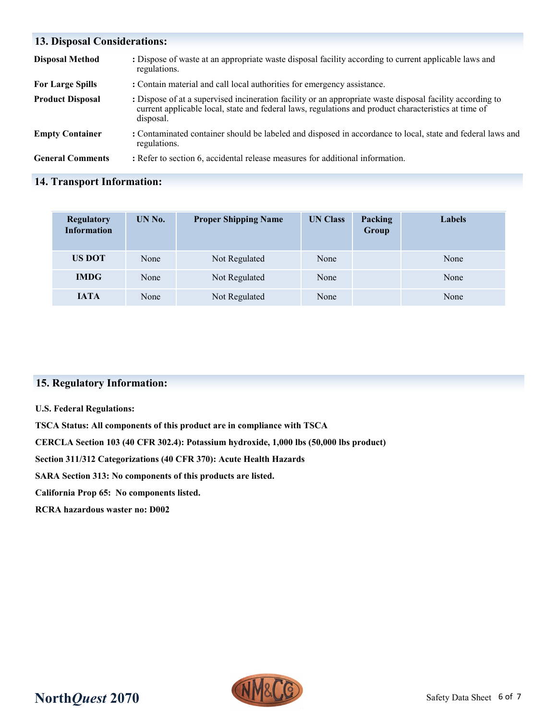| <b>13. Disposal Considerations:</b> |                                                                                                                                                                                                                                |  |  |
|-------------------------------------|--------------------------------------------------------------------------------------------------------------------------------------------------------------------------------------------------------------------------------|--|--|
| <b>Disposal Method</b>              | : Dispose of waste at an appropriate waste disposal facility according to current applicable laws and<br>regulations.                                                                                                          |  |  |
| <b>For Large Spills</b>             | : Contain material and call local authorities for emergency assistance.                                                                                                                                                        |  |  |
| <b>Product Disposal</b>             | : Dispose of at a supervised incineration facility or an appropriate waste disposal facility according to<br>current applicable local, state and federal laws, regulations and product characteristics at time of<br>disposal. |  |  |
| <b>Empty Container</b>              | : Contaminated container should be labeled and disposed in accordance to local, state and federal laws and<br>regulations.                                                                                                     |  |  |
| <b>General Comments</b>             | : Refer to section 6, accidental release measures for additional information.                                                                                                                                                  |  |  |

# **14. Transport Information:**

| <b>Regulatory</b><br><b>Information</b> | UN No. | <b>Proper Shipping Name</b> | <b>UN Class</b> | Packing<br>Group | Labels |
|-----------------------------------------|--------|-----------------------------|-----------------|------------------|--------|
| <b>US DOT</b>                           | None   | Not Regulated               | None            |                  | None   |
| <b>IMDG</b>                             | None   | Not Regulated               | None            |                  | None   |
| <b>IATA</b>                             | None   | Not Regulated               | None            |                  | None   |

# **15. Regulatory Information:**

#### **U.S. Federal Regulations:**

**TSCA Status: All components of this product are in compliance with TSCA**

**CERCLA Section 103 (40 CFR 302.4): Potassium hydroxide, 1,000 lbs (50,000 lbs product)**

**Section 311/312 Categorizations (40 CFR 370): Acute Health Hazards**

**SARA Section 313: No components of this products are listed.** 

**California Prop 65: No components listed.**

**RCRA hazardous waster no: D002**